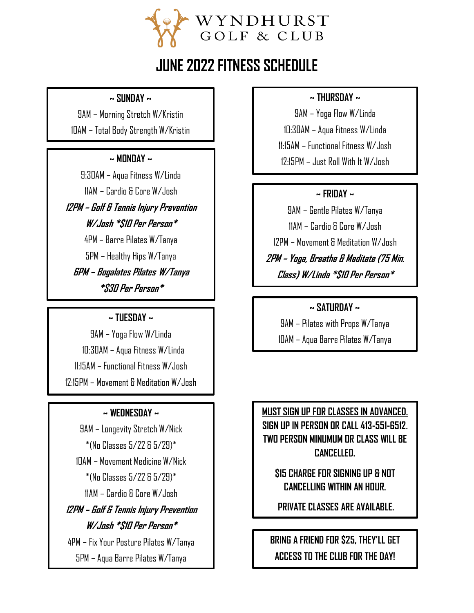

# **JUNE 2022 FITNESS SCHEDULE**

**~ SUNDAY ~**

9AM – Morning Stretch W/Kristin 10AM – Total Body Strength W/Kristin

#### **~ MONDAY ~**

9:30AM – Aqua Fitness W/Linda 11AM – Cardio & Core W/Josh

**12PM – Golf & Tennis Injury Prevention W/Josh \*\$10 Per Person\***

4PM – Barre Pilates W/Tanya 5PM – Healthy Hips W/Tanya **6PM – Bogalates Pilates W/Tanya \*\$30 Per Person\***

## **~ TUESDAY ~**

9AM – Yoga Flow W/Linda 10:30AM – Aqua Fitness W/Linda 11:15AM – Functional Fitness W/Josh 12:15PM – Movement & Meditation W/Josh

## **~ WEDNESDAY ~**

9AM – Longevity Stretch W/Nick \*(No Classes 5/22 & 5/29)\* 10AM – Movement Medicine W/Nick \*(No Classes 5/22 & 5/29)\* 11AM – Cardio & Core W/Josh

**12PM – Golf & Tennis Injury Prevention W/Josh \*\$10 Per Person\***

4PM – Fix Your Posture Pilates W/Tanya 5PM – Aqua Barre Pilates W/Tanya

# **~ THURSDAY ~**

9AM – Yoga Flow W/Linda 10:30AM – Aqua Fitness W/Linda 11:15AM – Functional Fitness W/Josh 12:15PM – Just Roll With It W/Josh

# **~ FRIDAY ~**

9AM – Gentle Pilates W/Tanya 11AM – Cardio & Core W/Josh 12PM – Movement & Meditation W/Josh **2PM – Yoga, Breathe & Meditate (75 Min. Class) W/Linda \*\$10 Per Person\***

# **~ SATURDAY ~**

9AM – Pilates with Props W/Tanya 10AM – Aqua Barre Pilates W/Tanya

**MUST SIGN UP FOR CLASSES IN ADVANCED. SIGN UP IN PERSON OR CALL 413-551-6512. TWO PERSON MINUMUM OR CLASS WILL BE CANCELLED.**

**\$15 CHARGE FOR SIGNING UP & NOT CANCELLING WITHIN AN HOUR.**

**PRIVATE CLASSES ARE AVAILABLE.**

**BRING A FRIEND FOR \$25, THEY'LL GET ACCESS TO THE CLUB FOR THE DAY!**